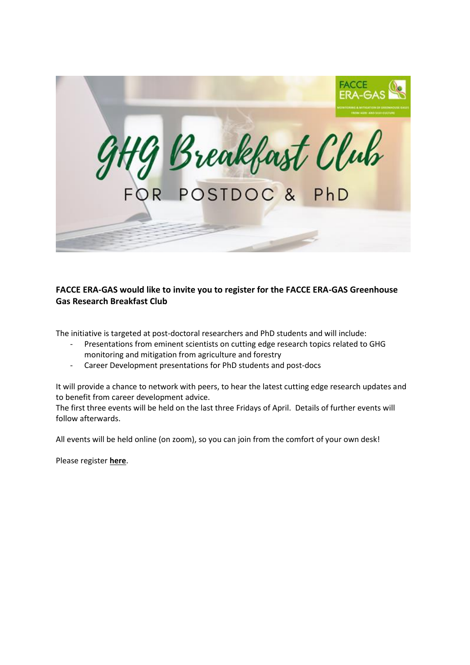

## **FACCE ERA-GAS would like to invite you to register for the FACCE ERA-GAS Greenhouse Gas Research Breakfast Club**

The initiative is targeted at post-doctoral researchers and PhD students and will include:

- Presentations from eminent scientists on cutting edge research topics related to GHG monitoring and mitigation from agriculture and forestry
- Career Development presentations for PhD students and post-docs

It will provide a chance to network with peers, to hear the latest cutting edge research updates and to benefit from career development advice.

The first three events will be held on the last three Fridays of April. Details of further events will follow afterwards.

All events will be held online (on zoom), so you can join from the comfort of your own desk!

Please register **[here](https://eur03.safelinks.protection.outlook.com/?url=https%3A%2F%2Fwww.eventbrite.ie%2Fe%2Fghg-breakfast-club-for-postdocs-and-phds-tickets-148895108277&data=04%7C01%7Cdorri.teboekhorst%40wur.nl%7Caab54eef47e3459a31c008d8f4ef5e7a%7C27d137e5761f4dc1af88d26430abb18f%7C0%7C0%7C637528656212435205%7CUnknown%7CTWFpbGZsb3d8eyJWIjoiMC4wLjAwMDAiLCJQIjoiV2luMzIiLCJBTiI6Ik1haWwiLCJXVCI6Mn0%3D%7C1000&sdata=tmp%2FRkzK2izrNplz5k0rvpp4rr%2BypSmqzlXKFa8EUKU%3D&reserved=0)**.